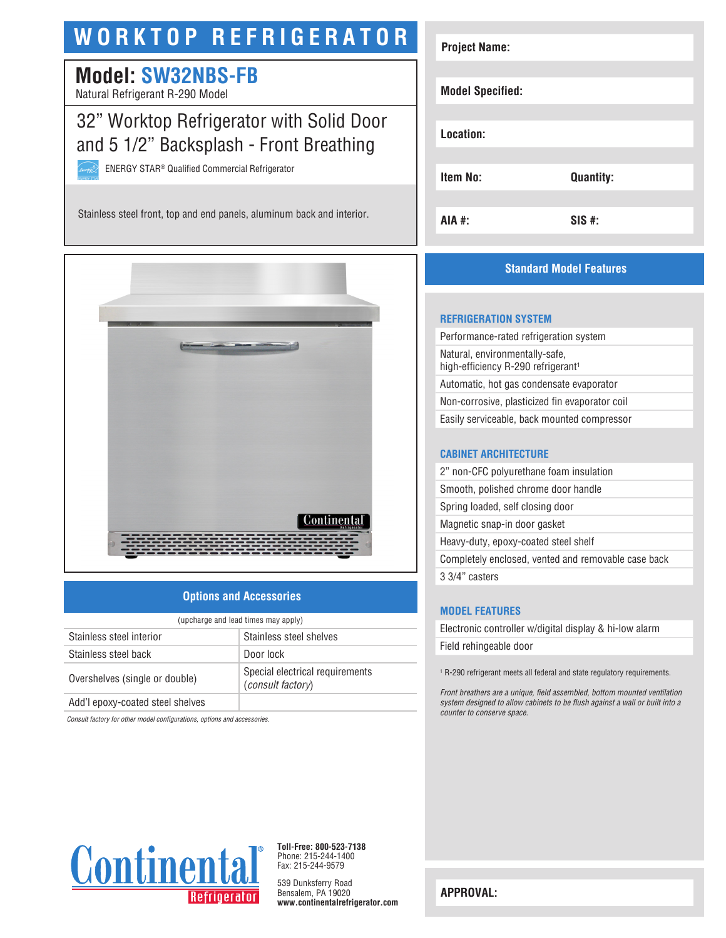# **WORKTOP REFRIGERATOR**

# **Model: SW32NBS-FB**

Natural Refrigerant R-290 Model

## 32" Worktop Refrigerator with Solid Door and 5 1/2" Backsplash - Front Breathing

ENERGY STAR® Qualified Commercial Refrigerator

Stainless steel front, top and end panels, aluminum back and interior.



### **Options and Accessories**

| (upcharge and lead times may apply) |                                                      |  |
|-------------------------------------|------------------------------------------------------|--|
| Stainless steel interior            | Stainless steel shelves                              |  |
| Stainless steel back                | Door lock                                            |  |
| Overshelves (single or double)      | Special electrical requirements<br>(consult factory) |  |
| Add'l epoxy-coated steel shelves    |                                                      |  |

*Consult factory for other model configurations, options and accessories.*

| <b>Project Name:</b>    |                  |
|-------------------------|------------------|
| <b>Model Specified:</b> |                  |
| Location:               |                  |
| <b>Item No:</b>         | <b>Quantity:</b> |
| AIA #:                  | $SIS$ #:         |

### **Standard Model Features**

#### **REFRIGERATION SYSTEM**

Performance-rated refrigeration system Natural, environmentally-safe, high-efficiency R-290 refrigerant<sup>1</sup> Automatic, hot gas condensate evaporator Non-corrosive, plasticized fin evaporator coil Easily serviceable, back mounted compressor

#### **CABINET ARCHITECTURE**

| 2" non-CFC polyurethane foam insulation             |
|-----------------------------------------------------|
| Smooth, polished chrome door handle                 |
| Spring loaded, self closing door                    |
| Magnetic snap-in door gasket                        |
| Heavy-duty, epoxy-coated steel shelf                |
| Completely enclosed, vented and removable case back |
| 3 3/4" casters                                      |

#### **MODEL FEATURES**

Electronic controller w/digital display & hi-low alarm Field rehingeable door

1 R-290 refrigerant meets all federal and state regulatory requirements.

*Front breathers are a unique, field assembled, bottom mounted ventilation system designed to allow cabinets to be flush against a wall or built into a counter to conserve space.*



**Toll-Free: 800-523-7138** Phone: 215-244-1400 Fax: 215-244-9579

539 Dunksferry Road Bensalem, PA 19020 **www.continentalrefrigerator.com** 

**APPROVAL:**